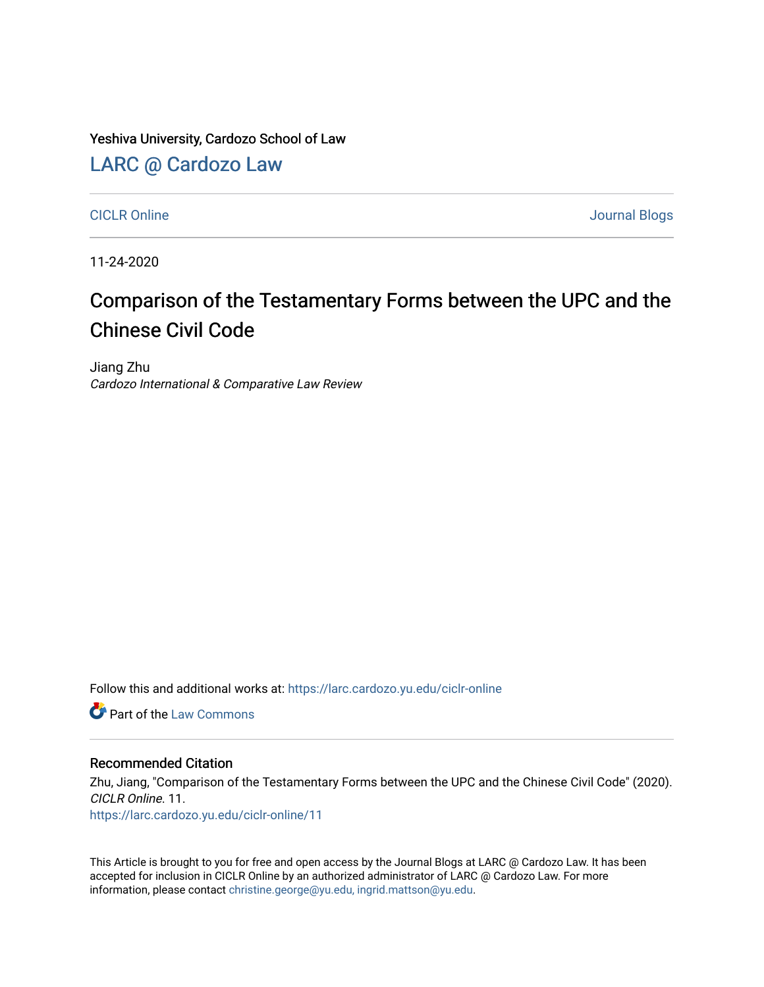Yeshiva University, Cardozo School of Law

[LARC @ Cardozo Law](https://larc.cardozo.yu.edu/)

[CICLR Online](https://larc.cardozo.yu.edu/ciclr-online) Journal Blogs

11-24-2020

## Comparison of the Testamentary Forms between the UPC and the Chinese Civil Code

Jiang Zhu Cardozo International & Comparative Law Review

Follow this and additional works at: [https://larc.cardozo.yu.edu/ciclr-online](https://larc.cardozo.yu.edu/ciclr-online?utm_source=larc.cardozo.yu.edu%2Fciclr-online%2F11&utm_medium=PDF&utm_campaign=PDFCoverPages) 

**C** Part of the [Law Commons](http://network.bepress.com/hgg/discipline/578?utm_source=larc.cardozo.yu.edu%2Fciclr-online%2F11&utm_medium=PDF&utm_campaign=PDFCoverPages)

## Recommended Citation

Zhu, Jiang, "Comparison of the Testamentary Forms between the UPC and the Chinese Civil Code" (2020). CICLR Online. 11. [https://larc.cardozo.yu.edu/ciclr-online/11](https://larc.cardozo.yu.edu/ciclr-online/11?utm_source=larc.cardozo.yu.edu%2Fciclr-online%2F11&utm_medium=PDF&utm_campaign=PDFCoverPages) 

This Article is brought to you for free and open access by the Journal Blogs at LARC @ Cardozo Law. It has been accepted for inclusion in CICLR Online by an authorized administrator of LARC @ Cardozo Law. For more information, please contact [christine.george@yu.edu, ingrid.mattson@yu.edu](mailto:christine.george@yu.edu,%20ingrid.mattson@yu.edu).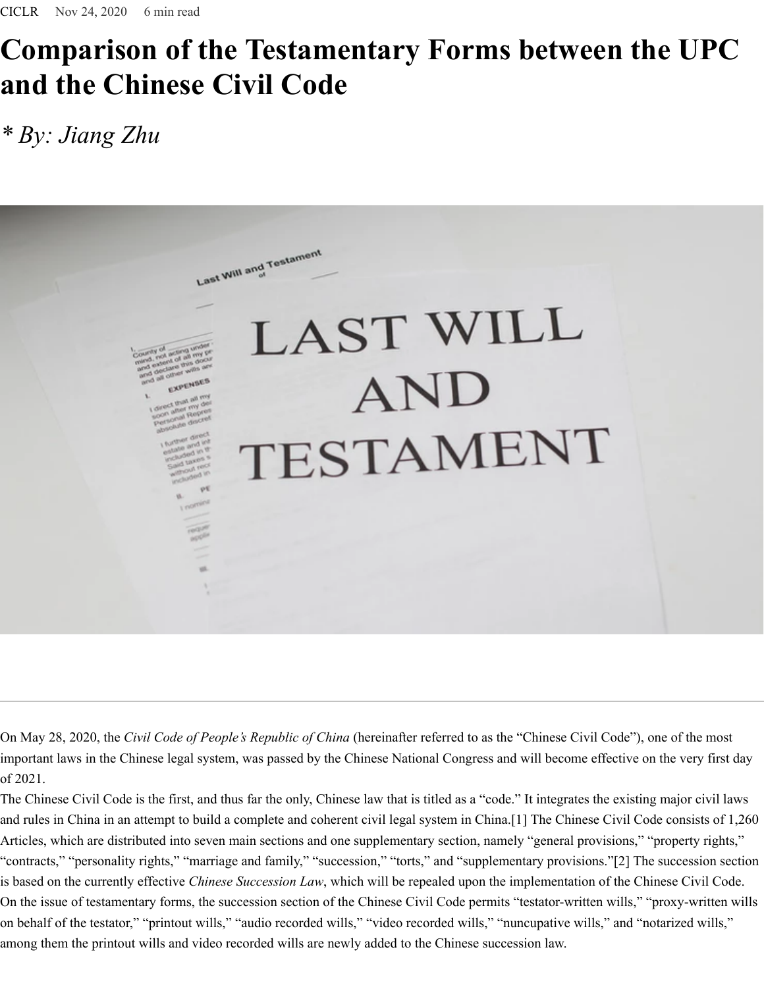## **Comparison of the Testamentary Forms between the UPC and the Chinese Civil Code**

## *\* By: Jiang Zhu*



On May 28, 2020, the *Civil Code of People's Republic of China* (hereinafter referred to as the "Chinese Civil Code"), one of the most important laws in the Chinese legal system, was passed by the Chinese National Congress and will become effective on the very first day of 2021.

The Chinese Civil Code is the first, and thus far the only, Chinese law that is titled as a "code." It integrates the existing major civil laws and rules in China in an attempt to build a complete and coherent civil legal system in China.[1] The Chinese Civil Code consists of 1,260 Articles, which are distributed into seven main sections and one supplementary section, namely "general provisions," "property rights," "contracts," "personality rights," "marriage and family," "succession," "torts," and "supplementary provisions."[2] The succession section is based on the currently effective *Chinese Succession Law*, which will be repealed upon the implementation of the Chinese Civil Code. On the issue of testamentary forms, the succession section of the Chinese Civil Code permits "testator-written wills," "proxy-written wills on behalf of the testator," "printout wills," "audio recorded wills," "video recorded wills," "nuncupative wills," and "notarized wills," among them the printout wills and video recorded wills are newly added to the Chinese succession law.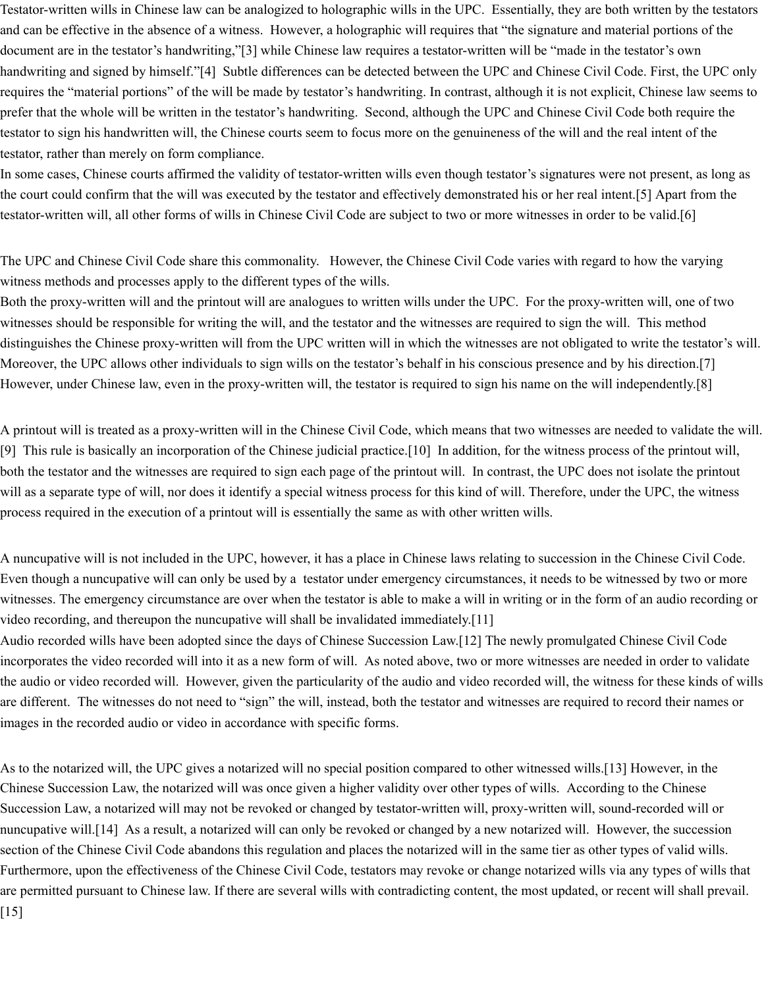Testator-written wills in Chinese law can be analogized to holographic wills in the UPC. Essentially, they are both written by the testators and can be effective in the absence of a witness. However, a holographic will requires that "the signature and material portions of the document are in the testator's handwriting,"[3] while Chinese law requires a testator-written will be "made in the testator's own handwriting and signed by himself."[4] Subtle differences can be detected between the UPC and Chinese Civil Code. First, the UPC only requires the "material portions" of the will be made by testator's handwriting. In contrast, although it is not explicit, Chinese law seems to prefer that the whole will be written in the testator's handwriting. Second, although the UPC and Chinese Civil Code both require the testator to sign his handwritten will, the Chinese courts seem to focus more on the genuineness of the will and the real intent of the testator, rather than merely on form compliance.

In some cases, Chinese courts affirmed the validity of testator-written wills even though testator's signatures were not present, as long as the court could confirm that the will was executed by the testator and effectively demonstrated his or her real intent.[5] Apart from the testator-written will, all other forms of wills in Chinese Civil Code are subject to two or more witnesses in order to be valid.[6]

The UPC and Chinese Civil Code share this commonality. However, the Chinese Civil Code varies with regard to how the varying witness methods and processes apply to the different types of the wills.

Both the proxy-written will and the printout will are analogues to written wills under the UPC. For the proxy-written will, one of two witnesses should be responsible for writing the will, and the testator and the witnesses are required to sign the will. This method distinguishes the Chinese proxy-written will from the UPC written will in which the witnesses are not obligated to write the testator's will. Moreover, the UPC allows other individuals to sign wills on the testator's behalf in his conscious presence and by his direction.[7] However, under Chinese law, even in the proxy-written will, the testator is required to sign his name on the will independently.[8]

A printout will is treated as a proxy-written will in the Chinese Civil Code, which means that two witnesses are needed to validate the will. [9] This rule is basically an incorporation of the Chinese judicial practice.[10] In addition, for the witness process of the printout will, both the testator and the witnesses are required to sign each page of the printout will. In contrast, the UPC does not isolate the printout will as a separate type of will, nor does it identify a special witness process for this kind of will. Therefore, under the UPC, the witness process required in the execution of a printout will is essentially the same as with other written wills.

A nuncupative will is not included in the UPC, however, it has a place in Chinese laws relating to succession in the Chinese Civil Code. Even though a nuncupative will can only be used by a testator under emergency circumstances, it needs to be witnessed by two or more witnesses. The emergency circumstance are over when the testator is able to make a will in writing or in the form of an audio recording or video recording, and thereupon the nuncupative will shall be invalidated immediately.[11]

Audio recorded wills have been adopted since the days of Chinese Succession Law.[12] The newly promulgated Chinese Civil Code incorporates the video recorded will into it as a new form of will. As noted above, two or more witnesses are needed in order to validate the audio or video recorded will. However, given the particularity of the audio and video recorded will, the witness for these kinds of wills are different. The witnesses do not need to "sign" the will, instead, both the testator and witnesses are required to record their names or images in the recorded audio or video in accordance with specific forms.

As to the notarized will, the UPC gives a notarized will no special position compared to other witnessed wills.[13] However, in the Chinese Succession Law, the notarized will was once given a higher validity over other types of wills. According to the Chinese Succession Law, a notarized will may not be revoked or changed by testator-written will, proxy-written will, sound-recorded will or nuncupative will.[14] As a result, a notarized will can only be revoked or changed by a new notarized will. However, the succession section of the Chinese Civil Code abandons this regulation and places the notarized will in the same tier as other types of valid wills. Furthermore, upon the effectiveness of the Chinese Civil Code, testators may revoke or change notarized wills via any types of wills that are permitted pursuant to Chinese law. If there are several wills with contradicting content, the most updated, or recent will shall prevail. [15]